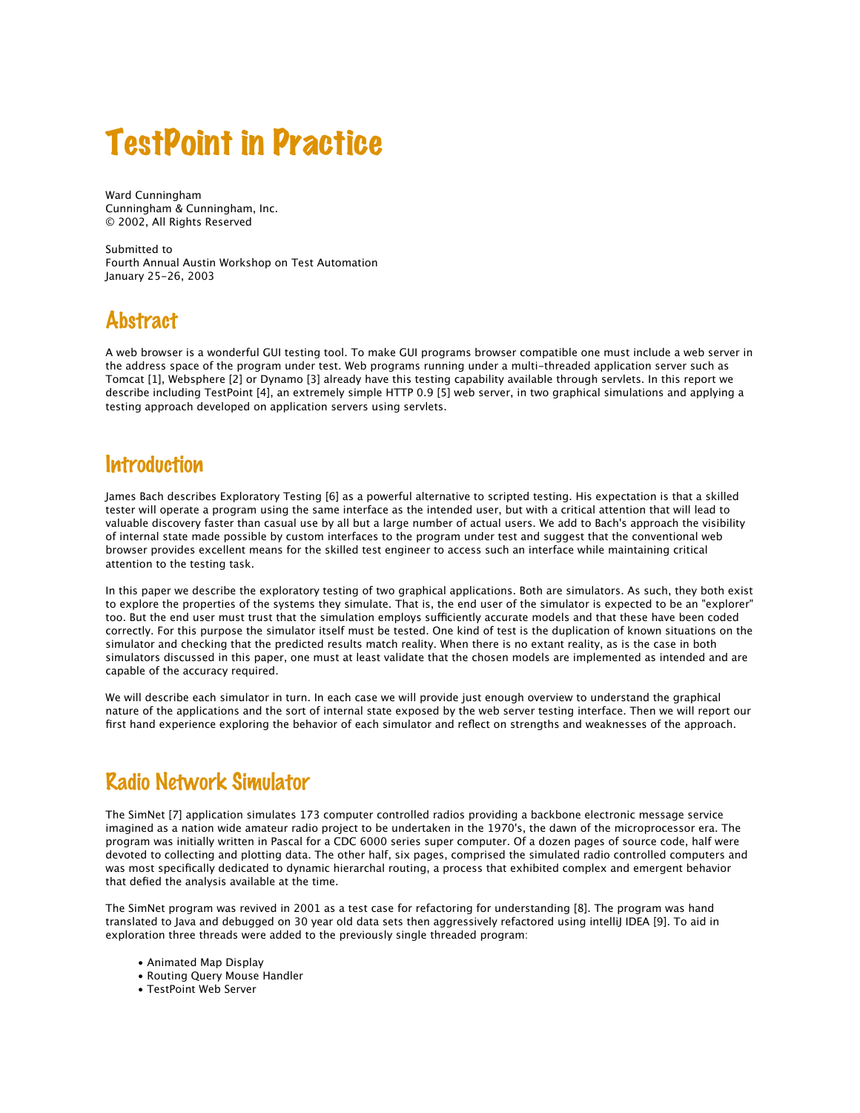# TestPoint in Practice

Ward Cunningham Cunningham & Cunningham, Inc. © 2002, All Rights Reserved

Submitted to Fourth Annual Austin Workshop on Test Automation January 25-26, 2003

## **Abstract**

A web browser is a wonderful GUI testing tool. To make GUI programs browser compatible one must include a web server in the address space of the program under test. Web programs running under a multi-threaded application server such as Tomcat [1], Websphere [2] or Dynamo [3] already have this testing capability available through servlets. In this report we describe including TestPoint [4], an extremely simple HTTP 0.9 [5] web server, in two graphical simulations and applying a testing approach developed on application servers using servlets.

#### **Introduction**

James Bach describes Exploratory Testing [6] as a powerful alternative to scripted testing. His expectation is that a skilled tester will operate a program using the same interface as the intended user, but with a critical attention that will lead to valuable discovery faster than casual use by all but a large number of actual users. We add to Bach's approach the visibility of internal state made possible by custom interfaces to the program under test and suggest that the conventional web browser provides excellent means for the skilled test engineer to access such an interface while maintaining critical attention to the testing task.

In this paper we describe the exploratory testing of two graphical applications. Both are simulators. As such, they both exist to explore the properties of the systems they simulate. That is, the end user of the simulator is expected to be an "explorer" too. But the end user must trust that the simulation employs sufficiently accurate models and that these have been coded correctly. For this purpose the simulator itself must be tested. One kind of test is the duplication of known situations on the simulator and checking that the predicted results match reality. When there is no extant reality, as is the case in both simulators discussed in this paper, one must at least validate that the chosen models are implemented as intended and are capable of the accuracy required.

We will describe each simulator in turn. In each case we will provide just enough overview to understand the graphical nature of the applications and the sort of internal state exposed by the web server testing interface. Then we will report our first hand experience exploring the behavior of each simulator and reflect on strengths and weaknesses of the approach.

## Radio Network Simulator

The SimNet [7] application simulates 173 computer controlled radios providing a backbone electronic message service imagined as a nation wide amateur radio project to be undertaken in the 1970's, the dawn of the microprocessor era. The program was initially written in Pascal for a CDC 6000 series super computer. Of a dozen pages of source code, half were devoted to collecting and plotting data. The other half, six pages, comprised the simulated radio controlled computers and was most specifically dedicated to dynamic hierarchal routing, a process that exhibited complex and emergent behavior that defied the analysis available at the time.

The SimNet program was revived in 2001 as a test case for refactoring for understanding [8]. The program was hand translated to Java and debugged on 30 year old data sets then aggressively refactored using intelliJ IDEA [9]. To aid in exploration three threads were added to the previously single threaded program:

- Animated Map Display
- Routing Query Mouse Handler
- TestPoint Web Server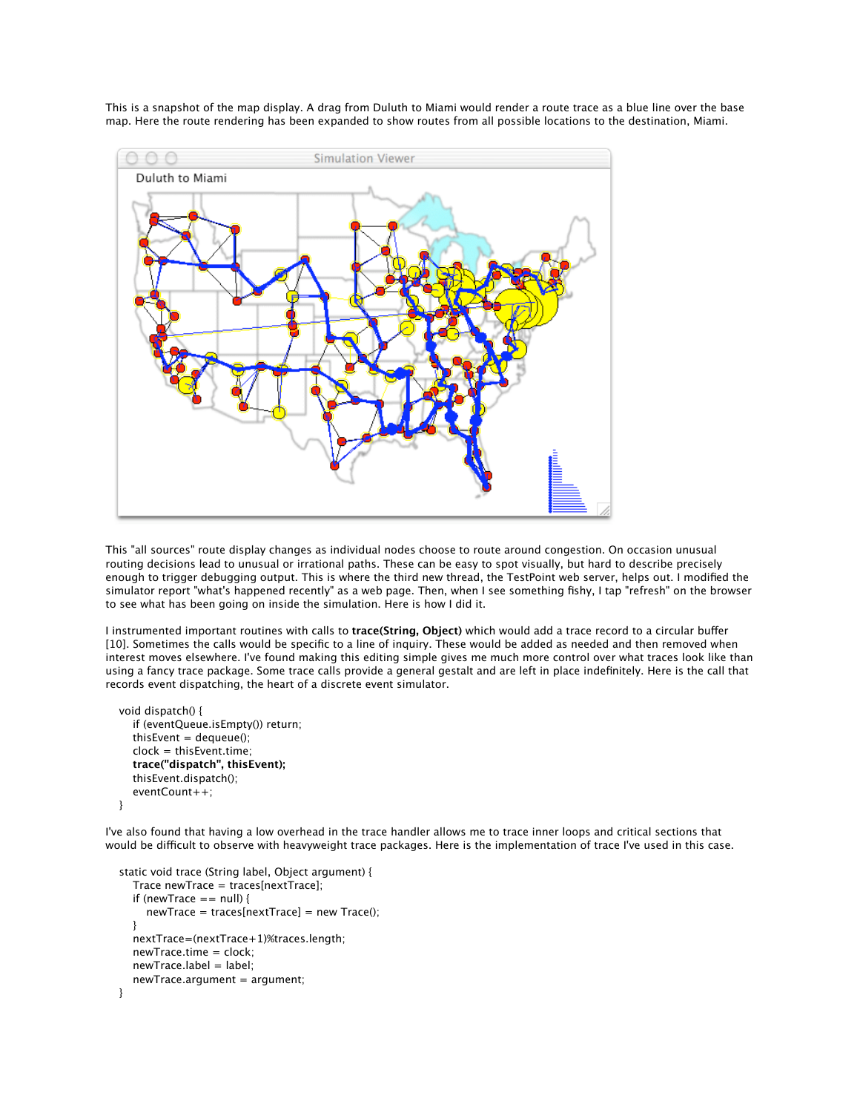This is a snapshot of the map display. A drag from Duluth to Miami would render a route trace as a blue line over the base map. Here the route rendering has been expanded to show routes from all possible locations to the destination, Miami.



This "all sources" route display changes as individual nodes choose to route around congestion. On occasion unusual routing decisions lead to unusual or irrational paths. These can be easy to spot visually, but hard to describe precisely enough to trigger debugging output. This is where the third new thread, the TestPoint web server, helps out. I modified the simulator report "what's happened recently" as a web page. Then, when I see something fishy, I tap "refresh" on the browser to see what has been going on inside the simulation. Here is how I did it.

I instrumented important routines with calls to **trace(String, Object)** which would add a trace record to a circular buffer [10]. Sometimes the calls would be specific to a line of inquiry. These would be added as needed and then removed when interest moves elsewhere. I've found making this editing simple gives me much more control over what traces look like than using a fancy trace package. Some trace calls provide a general gestalt and are left in place indefinitely. Here is the call that records event dispatching, the heart of a discrete event simulator.

```
 void dispatch() {
   if (eventQueue.isEmpty()) return;
  thisEvent = dequeue();
   clock = thisEvent.time;
   trace("dispatch", thisEvent);
   thisEvent.dispatch();
   eventCount++;
 }
```
I've also found that having a low overhead in the trace handler allows me to trace inner loops and critical sections that would be difficult to observe with heavyweight trace packages. Here is the implementation of trace I've used in this case.

```
 static void trace (String label, Object argument) {
   Trace newTrace = traces[nextTrace];
  if (newTrace == null) {
      newTrace = traces[nextTrace] = new Trace();
   }
   nextTrace=(nextTrace+1)%traces.length;
   newTrace.time = clock;
   newTrace.label = label;
   newTrace.argument = argument;
 }
```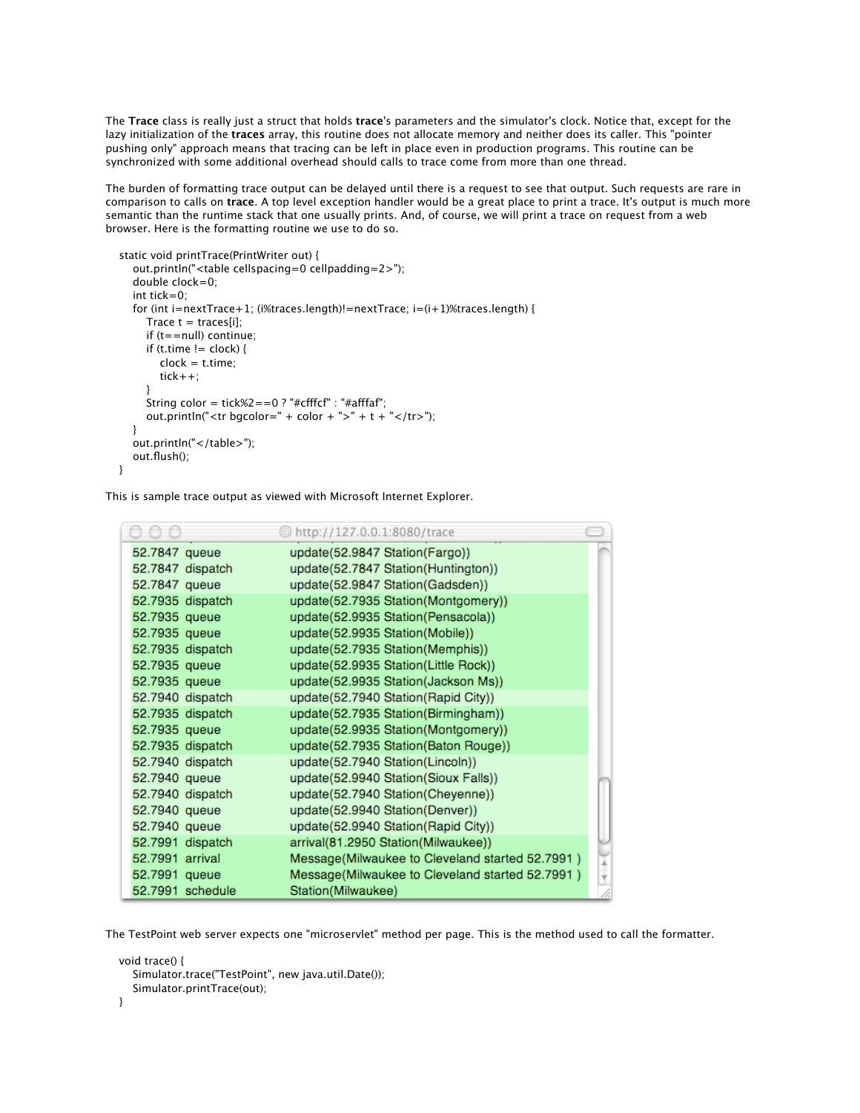The **Trace** class is really just a struct that holds **trace**'s parameters and the simulator's clock. Notice that, except for the lazy initialization of the **traces** array, this routine does not allocate memory and neither does its caller. This "pointer pushing only" approach means that tracing can be left in place even in production programs. This routine can be synchronized with some additional overhead should calls to trace come from more than one thread.

The burden of formatting trace output can be delayed until there is a request to see that output. Such requests are rare in comparison to calls on **trace**. A top level exception handler would be a great place to print a trace. It's output is much more semantic than the runtime stack that one usually prints. And, of course, we will print a trace on request from a web browser. Here is the formatting routine we use to do so.

```
 static void printTrace(PrintWriter out) {
      out.println("<table cellspacing=0 cellpadding=2>");
      double clock=0;
      int tick=0;
     for (int i=nextTrace+1; (i%traces.length)!=nextTrace; i=(i+1)%traces.length) {
       Trace t = \text{traces}[i];
        if (t==null) continue;
       if (t.time != clock) {
          clock = t.time; tick++;
 }
       String color = tick%2==0 ? "#cfffcf" : "#afffaf";
       out.println("<tr bgcolor=" + color + ">" + t + "</tr>");
      }
     out.println("</table>");
      out.flush();
   }
```
This is sample trace output as viewed with Microsoft Internet Explorer.

|                  | Chttp://127.0.0.1:8080/trace                    |  |
|------------------|-------------------------------------------------|--|
| 52.7847 queue    | update(52.9847 Station(Fargo))                  |  |
| 52.7847 dispatch | update(52.7847 Station(Huntington))             |  |
| 52.7847 queue    | update(52.9847 Station(Gadsden))                |  |
| 52.7935 dispatch | update(52.7935 Station(Montgomery))             |  |
| 52.7935 queue    | update(52.9935 Station(Pensacola))              |  |
| 52.7935 queue    | update(52.9935 Station(Mobile))                 |  |
| 52.7935 dispatch | update(52.7935 Station(Memphis))                |  |
| 52.7935 queue    | update(52.9935 Station(Little Rock))            |  |
| 52.7935 queue    | update(52.9935 Station(Jackson Ms))             |  |
| 52.7940 dispatch | update(52.7940 Station(Rapid City))             |  |
| 52.7935 dispatch | update(52.7935 Station(Birmingham))             |  |
| 52.7935 queue    | update(52.9935 Station(Montgomery))             |  |
| 52.7935 dispatch | update(52.7935 Station(Baton Rouge))            |  |
| 52.7940 dispatch | update(52.7940 Station(Lincoln))                |  |
| 52.7940 queue    | update(52.9940 Station(Sioux Falls))            |  |
| 52.7940 dispatch | update(52.7940 Station(Cheyenne))               |  |
| 52.7940 queue    | update(52.9940 Station(Denver))                 |  |
| 52.7940 queue    | update(52.9940 Station(Rapid City))             |  |
| 52.7991 dispatch | arrival(81.2950 Station(Milwaukee))             |  |
| 52.7991 arrival  | Message(Milwaukee to Cleveland started 52.7991) |  |
| 52.7991 queue    | Message(Milwaukee to Cleveland started 52.7991) |  |
| 52.7991 schedule | Station(Milwaukee)                              |  |

The TestPoint web server expects one "microservlet" method per page. This is the method used to call the formatter.

```
 void trace() {
    Simulator.trace("TestPoint", new java.util.Date());
    Simulator.printTrace(out);
 }
```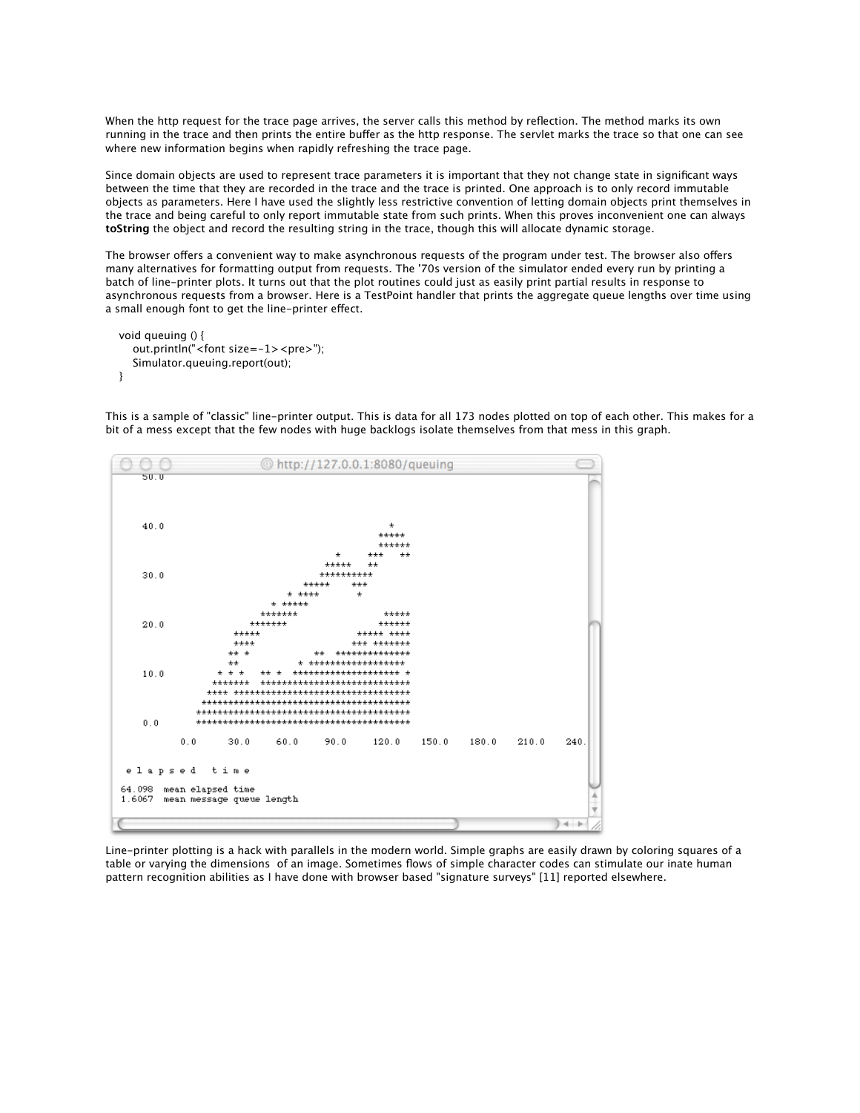When the http request for the trace page arrives, the server calls this method by reflection. The method marks its own running in the trace and then prints the entire buffer as the http response. The servlet marks the trace so that one can see where new information begins when rapidly refreshing the trace page.

Since domain objects are used to represent trace parameters it is important that they not change state in significant ways between the time that they are recorded in the trace and the trace is printed. One approach is to only record immutable objects as parameters. Here I have used the slightly less restrictive convention of letting domain objects print themselves in the trace and being careful to only report immutable state from such prints. When this proves inconvenient one can always **toString** the object and record the resulting string in the trace, though this will allocate dynamic storage.

The browser offers a convenient way to make asynchronous requests of the program under test. The browser also offers many alternatives for formatting output from requests. The '70s version of the simulator ended every run by printing a batch of line-printer plots. It turns out that the plot routines could just as easily print partial results in response to asynchronous requests from a browser. Here is a TestPoint handler that prints the aggregate queue lengths over time using a small enough font to get the line-printer effect.

```
 void queuing () {
   out.println("<font size=-1><pre>");
   Simulator.queuing.report(out);
 }
```
This is a sample of "classic" line-printer output. This is data for all 173 nodes plotted on top of each other. This makes for a bit of a mess except that the few nodes with huge backlogs isolate themselves from that mess in this graph.



Line-printer plotting is a hack with parallels in the modern world. Simple graphs are easily drawn by coloring squares of a table or varying the dimensions of an image. Sometimes flows of simple character codes can stimulate our inate human pattern recognition abilities as I have done with browser based "signature surveys" [11] reported elsewhere.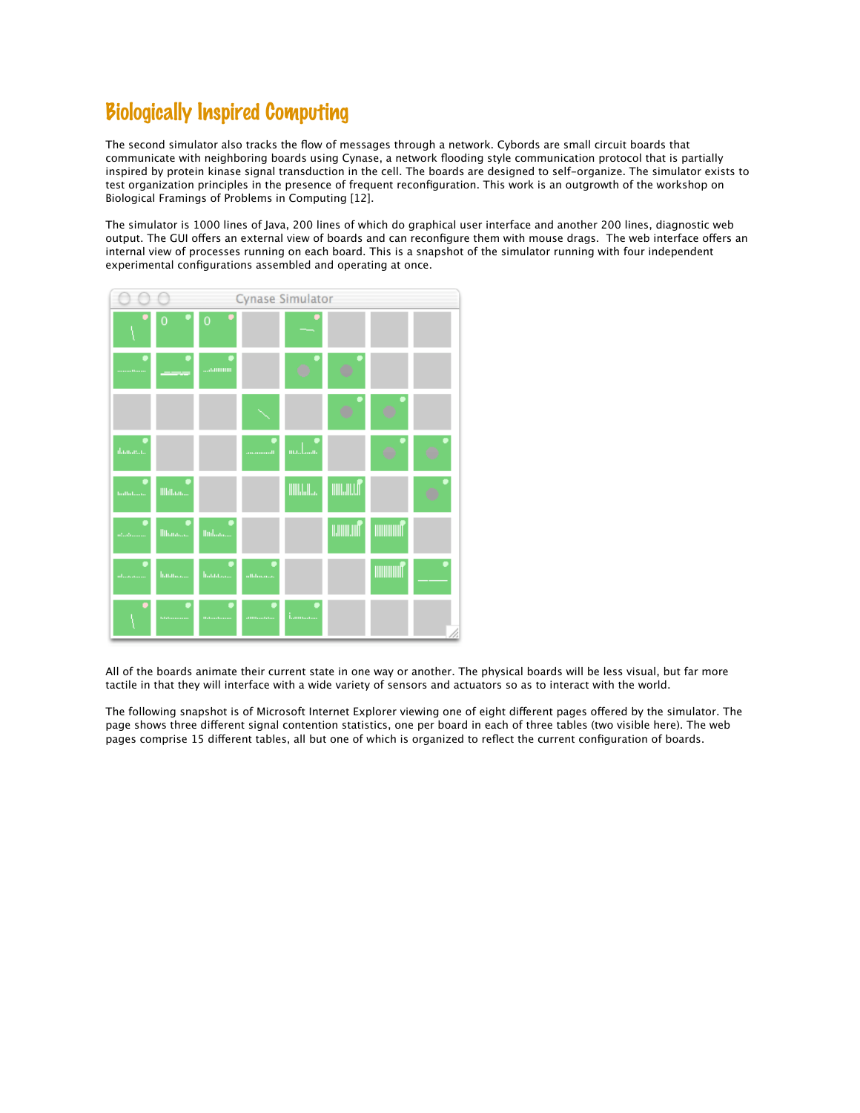## Biologically Inspired Computing

The second simulator also tracks the flow of messages through a network. Cybords are small circuit boards that communicate with neighboring boards using Cynase, a network flooding style communication protocol that is partially inspired by protein kinase signal transduction in the cell. The boards are designed to self-organize. The simulator exists to test organization principles in the presence of frequent reconfiguration. This work is an outgrowth of the workshop on Biological Framings of Problems in Computing [12].

The simulator is 1000 lines of Java, 200 lines of which do graphical user interface and another 200 lines, diagnostic web output. The GUI offers an external view of boards and can reconfigure them with mouse drags. The web interface offers an internal view of processes running on each board. This is a snapshot of the simulator running with four independent experimental configurations assembled and operating at once.



All of the boards animate their current state in one way or another. The physical boards will be less visual, but far more tactile in that they will interface with a wide variety of sensors and actuators so as to interact with the world.

The following snapshot is of Microsoft Internet Explorer viewing one of eight different pages offered by the simulator. The page shows three different signal contention statistics, one per board in each of three tables (two visible here). The web pages comprise 15 different tables, all but one of which is organized to reflect the current configuration of boards.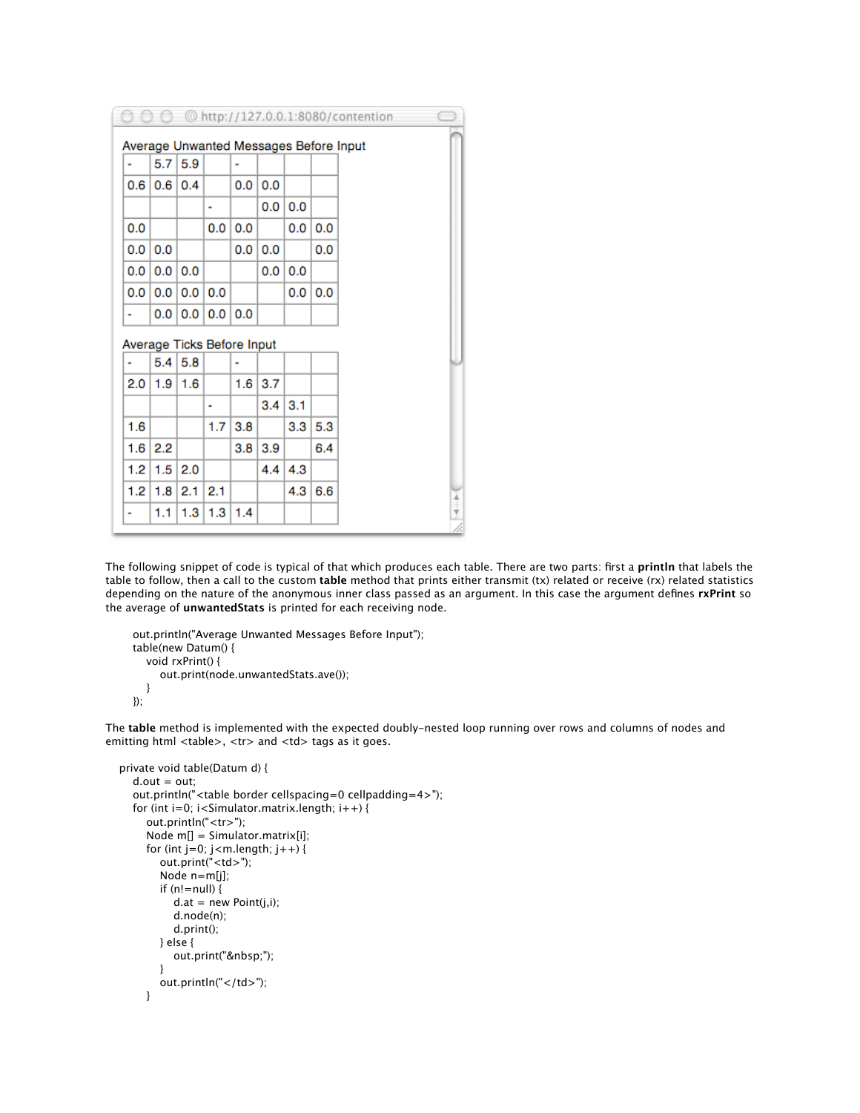|                                        |                  |           |     |                |            |     |     | © http://127.0.0.1:8080/contention |               |  |  |
|----------------------------------------|------------------|-----------|-----|----------------|------------|-----|-----|------------------------------------|---------------|--|--|
| Average Unwanted Messages Before Input |                  |           |     |                |            |     |     |                                    |               |  |  |
| $\blacksquare$                         | 5.7 <sub>1</sub> | 5.9       |     | $\blacksquare$ |            |     |     |                                    |               |  |  |
| 0.6                                    | 0.6              | 0.4       |     | 0.0            | 0.0        |     |     |                                    |               |  |  |
|                                        |                  |           | ٠   |                | 0.0        | 0.0 |     |                                    |               |  |  |
| 0.0                                    |                  |           | 0.0 | 0.0            |            | 0.0 | 0.0 |                                    |               |  |  |
| 0.0                                    | 0.0              |           |     | 0.0            | 0.0        |     | 0.0 |                                    |               |  |  |
| 0.0                                    | 0.0              | 0.0       |     |                | 0.0        | 0.0 |     |                                    |               |  |  |
| 0.0                                    | 0.0              | 0.0       | 0.0 |                |            | 0.0 | 0.0 |                                    |               |  |  |
| ٠                                      | 0.0              | 0.0       |     | 0.0   0.0      |            |     |     |                                    |               |  |  |
| Average Ticks Before Input             |                  |           |     |                |            |     |     |                                    |               |  |  |
| ٠                                      |                  | 5.4   5.8 |     |                |            |     |     |                                    |               |  |  |
| 2.0                                    | 1.9              | 1.6       |     | 1.6            | 3.7        |     |     |                                    |               |  |  |
|                                        |                  |           | ۰   |                | $3.4 \mid$ | 3.1 |     |                                    |               |  |  |
| 1.6                                    |                  |           | 1.7 | 3.8            |            | 3.3 | 5.3 |                                    |               |  |  |
| 1.6                                    | 2.2              |           |     | 3.8            | 3.9        |     | 6.4 |                                    |               |  |  |
| 1.2                                    | 1.5              | 2.0       |     |                | 4.4        | 4.3 |     |                                    |               |  |  |
| 1.2                                    | 1.8              | 2.1       | 2.1 |                |            | 4.3 | 6.6 |                                    |               |  |  |
| ۰                                      | 1.1              | 1.3       | 1.3 | 1.4            |            |     |     |                                    | $\frac{4}{7}$ |  |  |

The following snippet of code is typical of that which produces each table. There are two parts: first a **println** that labels the table to follow, then a call to the custom **table** method that prints either transmit (tx) related or receive (rx) related statistics depending on the nature of the anonymous inner class passed as an argument. In this case the argument defines **rxPrint** so the average of **unwantedStats** is printed for each receiving node.

```
 out.println("Average Unwanted Messages Before Input");
 table(new Datum() {
   void rxPrint() {
      out.print(node.unwantedStats.ave());
   }
 });
```
The **table** method is implemented with the expected doubly-nested loop running over rows and columns of nodes and emitting html <table>, <tr> and <td> tags as it goes.

```
 private void table(Datum d) {
    d.out = out; out.println("<table border cellspacing=0 cellpadding=4>");
    for (int i=0; i < Simulator.matrix.length; i++) {
        out.println("<tr>");
        Node m[] = Simulator.matrix[i];
       for (int j=0; j<m.length; j++) {
           out.print("<td>");
           Node n=m[j];
           if (n!=null) {
            d.at = new Point(j, i);
              d.node(n);
             d.print();
           } else {
             out.print(" ");
 }
          out.println("</td>");
        }
```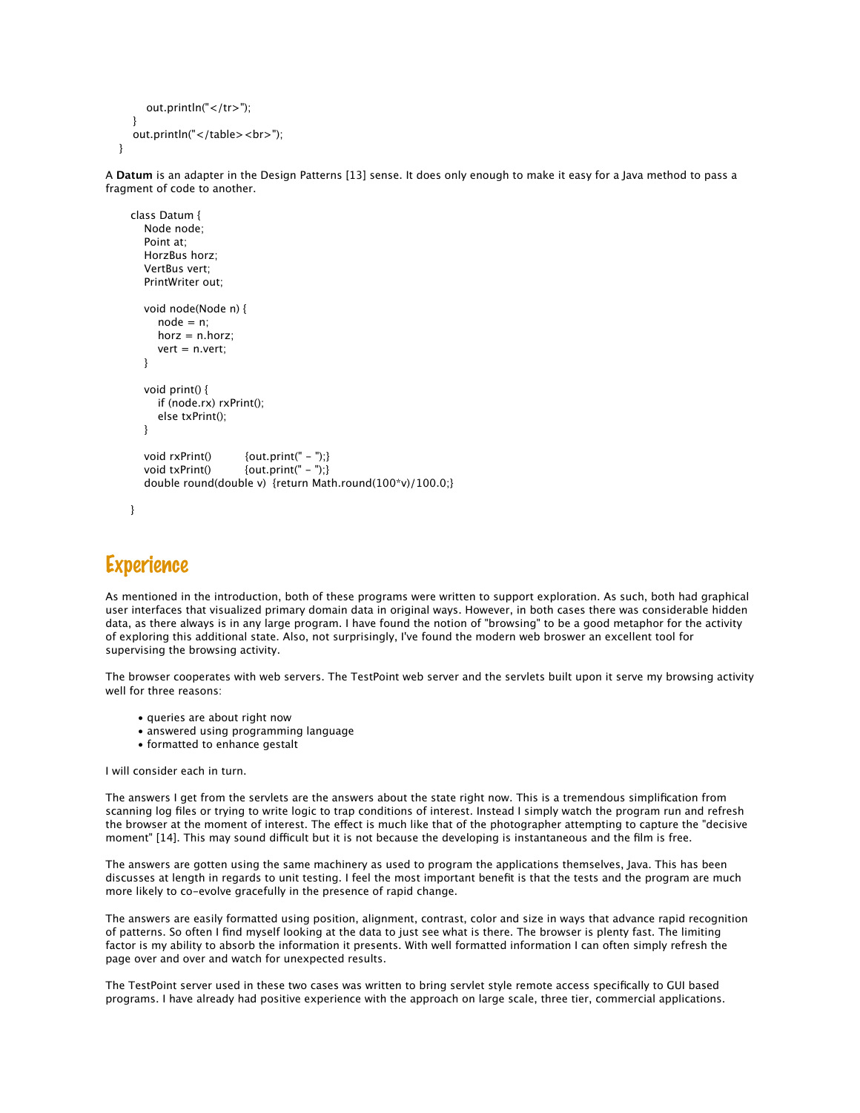```
out.println("</tr>");
   }
   out.println("</table><br>");
 }
```
A **Datum** is an adapter in the Design Patterns [13] sense. It does only enough to make it easy for a Java method to pass a fragment of code to another.

```
class Datum {
   Node node;
   Point at;
  HorzBus horz;
   VertBus vert;
   PrintWriter out;
   void node(Node n) {
     node = n;horz = n.horz;
      vert = n.vert;
   }
   void print() {
      if (node.rx) rxPrint();
      else txPrint();
   }
  void rxPrint() {out.print(" - ");}
  void txPrint() {out.print(" - ");} double round(double v) {return Math.round(100*v)/100.0;}
}
```
### Experience

As mentioned in the introduction, both of these programs were written to support exploration. As such, both had graphical user interfaces that visualized primary domain data in original ways. However, in both cases there was considerable hidden data, as there always is in any large program. I have found the notion of "browsing" to be a good metaphor for the activity of exploring this additional state. Also, not surprisingly, I've found the modern web broswer an excellent tool for supervising the browsing activity.

The browser cooperates with web servers. The TestPoint web server and the servlets built upon it serve my browsing activity well for three reasons:

- queries are about right now
- answered using programming language
- formatted to enhance gestalt

I will consider each in turn.

The answers I get from the servlets are the answers about the state right now. This is a tremendous simplification from scanning log files or trying to write logic to trap conditions of interest. Instead I simply watch the program run and refresh the browser at the moment of interest. The effect is much like that of the photographer attempting to capture the "decisive moment" [14]. This may sound difficult but it is not because the developing is instantaneous and the film is free.

The answers are gotten using the same machinery as used to program the applications themselves, Java. This has been discusses at length in regards to unit testing. I feel the most important benefit is that the tests and the program are much more likely to co-evolve gracefully in the presence of rapid change.

The answers are easily formatted using position, alignment, contrast, color and size in ways that advance rapid recognition of patterns. So often I find myself looking at the data to just see what is there. The browser is plenty fast. The limiting factor is my ability to absorb the information it presents. With well formatted information I can often simply refresh the page over and over and watch for unexpected results.

The TestPoint server used in these two cases was written to bring servlet style remote access specifically to GUI based programs. I have already had positive experience with the approach on large scale, three tier, commercial applications.